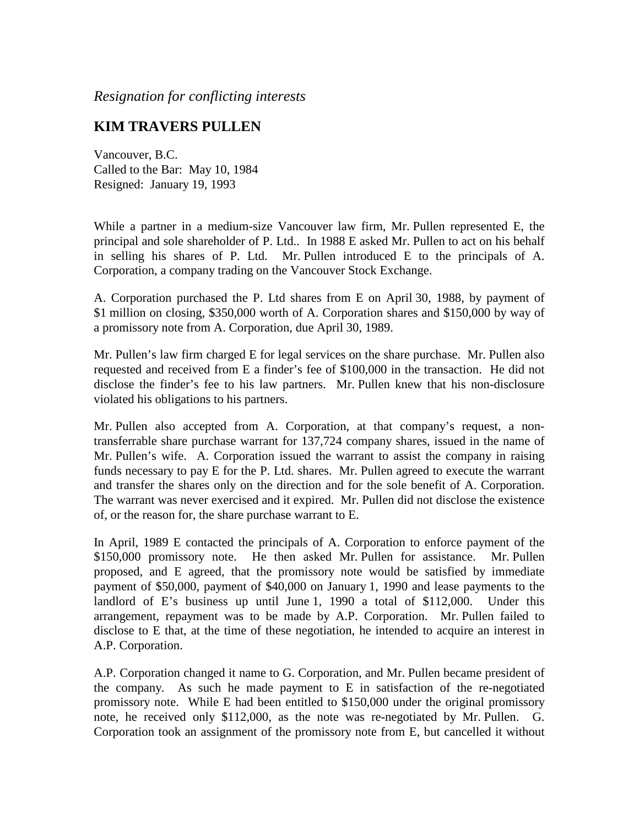*Resignation for conflicting interests*

## **KIM TRAVERS PULLEN**

Vancouver, B.C. Called to the Bar: May 10, 1984 Resigned: January 19, 1993

While a partner in a medium-size Vancouver law firm, Mr. Pullen represented E, the principal and sole shareholder of P. Ltd.. In 1988 E asked Mr. Pullen to act on his behalf in selling his shares of P. Ltd. Mr. Pullen introduced E to the principals of A. Corporation, a company trading on the Vancouver Stock Exchange.

A. Corporation purchased the P. Ltd shares from E on April 30, 1988, by payment of \$1 million on closing, \$350,000 worth of A. Corporation shares and \$150,000 by way of a promissory note from A. Corporation, due April 30, 1989.

Mr. Pullen's law firm charged E for legal services on the share purchase. Mr. Pullen also requested and received from E a finder's fee of \$100,000 in the transaction. He did not disclose the finder's fee to his law partners. Mr. Pullen knew that his non-disclosure violated his obligations to his partners.

Mr. Pullen also accepted from A. Corporation, at that company's request, a nontransferrable share purchase warrant for 137,724 company shares, issued in the name of Mr. Pullen's wife. A. Corporation issued the warrant to assist the company in raising funds necessary to pay E for the P. Ltd. shares. Mr. Pullen agreed to execute the warrant and transfer the shares only on the direction and for the sole benefit of A. Corporation. The warrant was never exercised and it expired. Mr. Pullen did not disclose the existence of, or the reason for, the share purchase warrant to E.

In April, 1989 E contacted the principals of A. Corporation to enforce payment of the \$150,000 promissory note. He then asked Mr. Pullen for assistance. Mr. Pullen proposed, and E agreed, that the promissory note would be satisfied by immediate payment of \$50,000, payment of \$40,000 on January 1, 1990 and lease payments to the landlord of E's business up until June 1, 1990 a total of \$112,000. Under this arrangement, repayment was to be made by A.P. Corporation. Mr. Pullen failed to disclose to E that, at the time of these negotiation, he intended to acquire an interest in A.P. Corporation.

A.P. Corporation changed it name to G. Corporation, and Mr. Pullen became president of the company. As such he made payment to E in satisfaction of the re-negotiated promissory note. While E had been entitled to \$150,000 under the original promissory note, he received only \$112,000, as the note was re-negotiated by Mr. Pullen. G. Corporation took an assignment of the promissory note from E, but cancelled it without